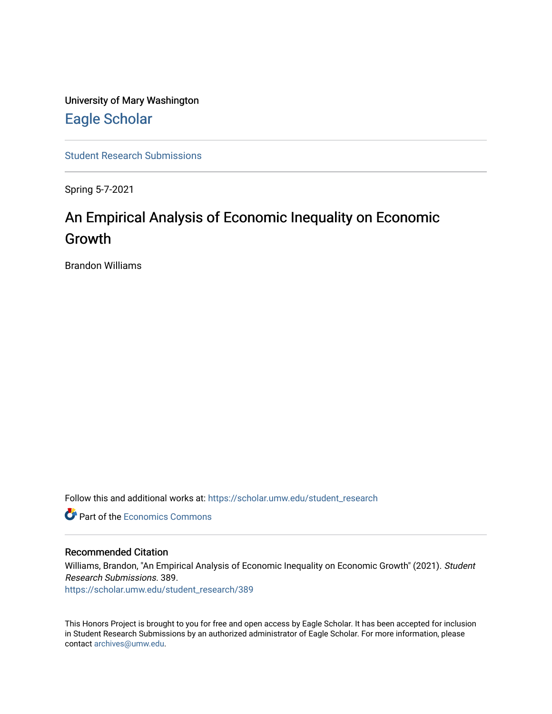University of Mary Washington [Eagle Scholar](https://scholar.umw.edu/) 

[Student Research Submissions](https://scholar.umw.edu/student_research) 

Spring 5-7-2021

# An Empirical Analysis of Economic Inequality on Economic Growth

Brandon Williams

Follow this and additional works at: [https://scholar.umw.edu/student\\_research](https://scholar.umw.edu/student_research?utm_source=scholar.umw.edu%2Fstudent_research%2F389&utm_medium=PDF&utm_campaign=PDFCoverPages)

**C** Part of the [Economics Commons](http://network.bepress.com/hgg/discipline/340?utm_source=scholar.umw.edu%2Fstudent_research%2F389&utm_medium=PDF&utm_campaign=PDFCoverPages)

#### Recommended Citation

Williams, Brandon, "An Empirical Analysis of Economic Inequality on Economic Growth" (2021). Student Research Submissions. 389.

[https://scholar.umw.edu/student\\_research/389](https://scholar.umw.edu/student_research/389?utm_source=scholar.umw.edu%2Fstudent_research%2F389&utm_medium=PDF&utm_campaign=PDFCoverPages)

This Honors Project is brought to you for free and open access by Eagle Scholar. It has been accepted for inclusion in Student Research Submissions by an authorized administrator of Eagle Scholar. For more information, please contact [archives@umw.edu](mailto:archives@umw.edu).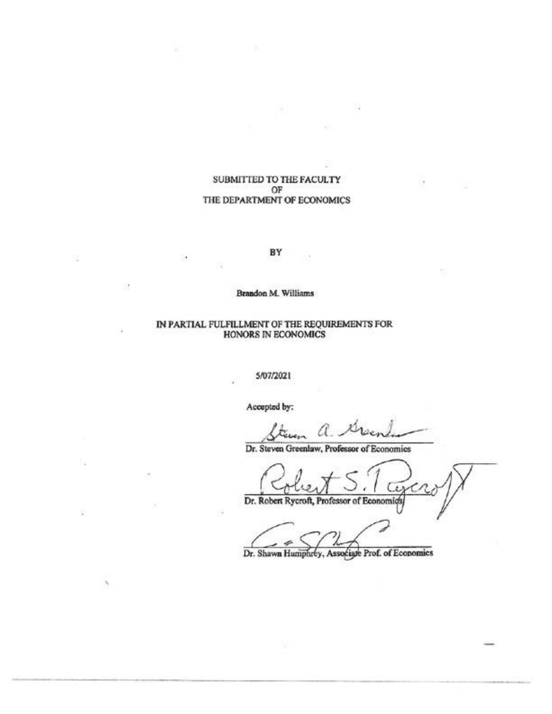#### SUBMITTED TO THE FACULTY OF THE DEPARTMENT OF ECONOMICS

BY

#### Brandon M. Williams

#### IN PARTIAL FULFILLMENT OF THE REQUIREMENTS FOR HONORS IN ECONOMICS

5/07/2021

Accepted by:

Steven a.

Dr. Steven Greenlaw, Professor of Economics

ż Dr. Robert Rycroft, Professor of Economics

Dr. Shawn Humphrey, Associate Prof. of Economics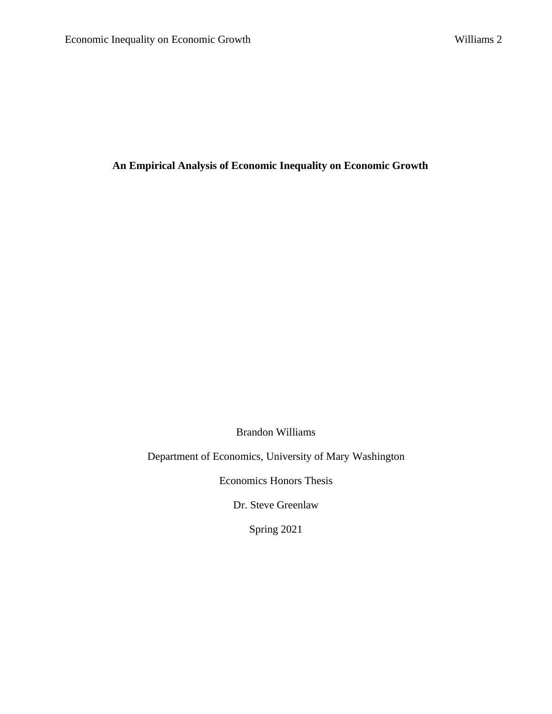**An Empirical Analysis of Economic Inequality on Economic Growth** 

Brandon Williams

Department of Economics, University of Mary Washington

Economics Honors Thesis

Dr. Steve Greenlaw

Spring 2021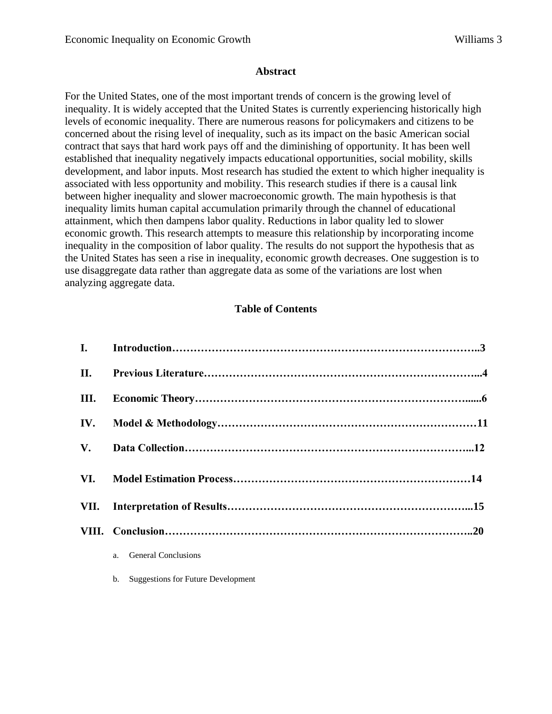#### **Abstract**

For the United States, one of the most important trends of concern is the growing level of inequality. It is widely accepted that the United States is currently experiencing historically high levels of economic inequality. There are numerous reasons for policymakers and citizens to be concerned about the rising level of inequality, such as its impact on the basic American social contract that says that hard work pays off and the diminishing of opportunity. It has been well established that inequality negatively impacts educational opportunities, social mobility, skills development, and labor inputs. Most research has studied the extent to which higher inequality is associated with less opportunity and mobility. This research studies if there is a causal link between higher inequality and slower macroeconomic growth. The main hypothesis is that inequality limits human capital accumulation primarily through the channel of educational attainment, which then dampens labor quality. Reductions in labor quality led to slower economic growth. This research attempts to measure this relationship by incorporating income inequality in the composition of labor quality. The results do not support the hypothesis that as the United States has seen a rise in inequality, economic growth decreases. One suggestion is to use disaggregate data rather than aggregate data as some of the variations are lost when analyzing aggregate data.

### **Table of Contents**

| II.           |                        |  |
|---------------|------------------------|--|
| III.          |                        |  |
|               |                        |  |
| $V_{\bullet}$ |                        |  |
|               |                        |  |
|               |                        |  |
|               |                        |  |
|               | a. General Conclusions |  |

b. Suggestions for Future Development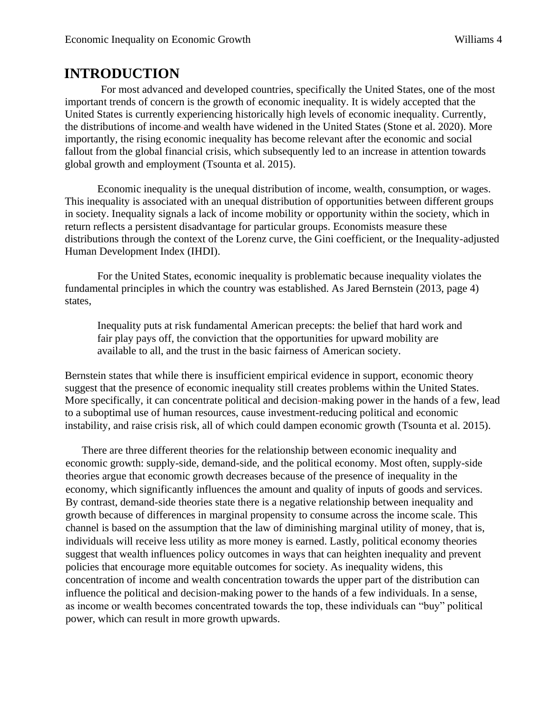### **INTRODUCTION**

For most advanced and developed countries, specifically the United States, one of the most important trends of concern is the growth of economic inequality. It is widely accepted that the United States is currently experiencing historically high levels of economic inequality. Currently, the distributions of income and wealth have widened in the United States (Stone et al. 2020). More importantly, the rising economic inequality has become relevant after the economic and social fallout from the global financial crisis, which subsequently led to an increase in attention towards global growth and employment (Tsounta et al. 2015).

Economic inequality is the unequal distribution of income, wealth, consumption, or wages. This inequality is associated with an unequal distribution of opportunities between different groups in society. Inequality signals a lack of income mobility or opportunity within the society, which in return reflects a persistent disadvantage for particular groups. Economists measure these distributions through the context of the Lorenz curve, the Gini coefficient, or the Inequality-adjusted Human Development Index (IHDI).

For the United States, economic inequality is problematic because inequality violates the fundamental principles in which the country was established. As Jared Bernstein (2013, page 4) states,

Inequality puts at risk fundamental American precepts: the belief that hard work and fair play pays off, the conviction that the opportunities for upward mobility are available to all, and the trust in the basic fairness of American society.

Bernstein states that while there is insufficient empirical evidence in support, economic theory suggest that the presence of economic inequality still creates problems within the United States. More specifically, it can concentrate political and decision-making power in the hands of a few, lead to a suboptimal use of human resources, cause investment-reducing political and economic instability, and raise crisis risk, all of which could dampen economic growth (Tsounta et al. 2015).

There are three different theories for the relationship between economic inequality and economic growth: supply-side, demand-side, and the political economy. Most often, supply-side theories argue that economic growth decreases because of the presence of inequality in the economy, which significantly influences the amount and quality of inputs of goods and services. By contrast, demand-side theories state there is a negative relationship between inequality and growth because of differences in marginal propensity to consume across the income scale. This channel is based on the assumption that the law of diminishing marginal utility of money, that is, individuals will receive less utility as more money is earned. Lastly, political economy theories suggest that wealth influences policy outcomes in ways that can heighten inequality and prevent policies that encourage more equitable outcomes for society. As inequality widens, this concentration of income and wealth concentration towards the upper part of the distribution can influence the political and decision-making power to the hands of a few individuals. In a sense, as income or wealth becomes concentrated towards the top, these individuals can "buy" political power, which can result in more growth upwards.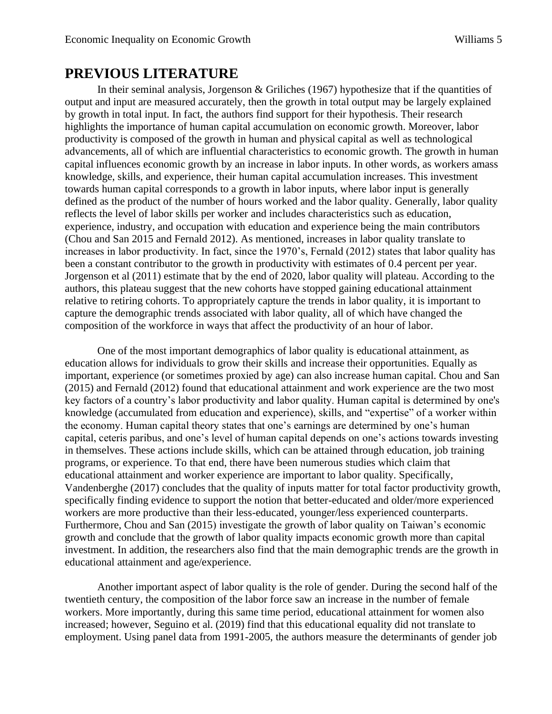### **PREVIOUS LITERATURE**

In their seminal analysis, Jorgenson & Griliches (1967) hypothesize that if the quantities of output and input are measured accurately, then the growth in total output may be largely explained by growth in total input. In fact, the authors find support for their hypothesis. Their research highlights the importance of human capital accumulation on economic growth. Moreover, labor productivity is composed of the growth in human and physical capital as well as technological advancements, all of which are influential characteristics to economic growth. The growth in human capital influences economic growth by an increase in labor inputs. In other words, as workers amass knowledge, skills, and experience, their human capital accumulation increases. This investment towards human capital corresponds to a growth in labor inputs, where labor input is generally defined as the product of the number of hours worked and the labor quality. Generally, labor quality reflects the level of labor skills per worker and includes characteristics such as education, experience, industry, and occupation with education and experience being the main contributors (Chou and San 2015 and Fernald 2012). As mentioned, increases in labor quality translate to increases in labor productivity. In fact, since the 1970's, Fernald (2012) states that labor quality has been a constant contributor to the growth in productivity with estimates of 0.4 percent per year. Jorgenson et al (2011) estimate that by the end of 2020, labor quality will plateau. According to the authors, this plateau suggest that the new cohorts have stopped gaining educational attainment relative to retiring cohorts. To appropriately capture the trends in labor quality, it is important to capture the demographic trends associated with labor quality, all of which have changed the composition of the workforce in ways that affect the productivity of an hour of labor.

One of the most important demographics of labor quality is educational attainment, as education allows for individuals to grow their skills and increase their opportunities. Equally as important, experience (or sometimes proxied by age) can also increase human capital. Chou and San (2015) and Fernald (2012) found that educational attainment and work experience are the two most key factors of a country's labor productivity and labor quality. Human capital is determined by one's knowledge (accumulated from education and experience), skills, and "expertise" of a worker within the economy. Human capital theory states that one's earnings are determined by one's human capital, ceteris paribus, and one's level of human capital depends on one's actions towards investing in themselves. These actions include skills, which can be attained through education, job training programs, or experience. To that end, there have been numerous studies which claim that educational attainment and worker experience are important to labor quality. Specifically, Vandenberghe (2017) concludes that the quality of inputs matter for total factor productivity growth, specifically finding evidence to support the notion that better-educated and older/more experienced workers are more productive than their less-educated, younger/less experienced counterparts. Furthermore, Chou and San (2015) investigate the growth of labor quality on Taiwan's economic growth and conclude that the growth of labor quality impacts economic growth more than capital investment. In addition, the researchers also find that the main demographic trends are the growth in educational attainment and age/experience.

Another important aspect of labor quality is the role of gender. During the second half of the twentieth century, the composition of the labor force saw an increase in the number of female workers. More importantly, during this same time period, educational attainment for women also increased; however, Seguino et al. (2019) find that this educational equality did not translate to employment. Using panel data from 1991-2005, the authors measure the determinants of gender job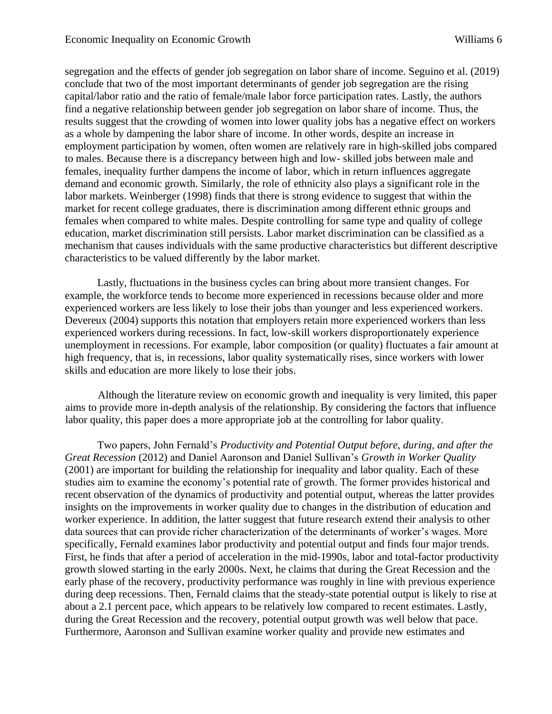segregation and the effects of gender job segregation on labor share of income. Seguino et al. (2019) conclude that two of the most important determinants of gender job segregation are the rising capital/labor ratio and the ratio of female/male labor force participation rates. Lastly, the authors find a negative relationship between gender job segregation on labor share of income. Thus, the results suggest that the crowding of women into lower quality jobs has a negative effect on workers as a whole by dampening the labor share of income. In other words, despite an increase in employment participation by women, often women are relatively rare in high-skilled jobs compared to males. Because there is a discrepancy between high and low- skilled jobs between male and females, inequality further dampens the income of labor, which in return influences aggregate demand and economic growth. Similarly, the role of ethnicity also plays a significant role in the labor markets. Weinberger (1998) finds that there is strong evidence to suggest that within the market for recent college graduates, there is discrimination among different ethnic groups and females when compared to white males. Despite controlling for same type and quality of college education, market discrimination still persists. Labor market discrimination can be classified as a mechanism that causes individuals with the same productive characteristics but different descriptive characteristics to be valued differently by the labor market.

Lastly, fluctuations in the business cycles can bring about more transient changes. For example, the workforce tends to become more experienced in recessions because older and more experienced workers are less likely to lose their jobs than younger and less experienced workers. Devereux (2004) supports this notation that employers retain more experienced workers than less experienced workers during recessions. In fact, low-skill workers disproportionately experience unemployment in recessions. For example, labor composition (or quality) fluctuates a fair amount at high frequency, that is, in recessions, labor quality systematically rises, since workers with lower skills and education are more likely to lose their jobs.

Although the literature review on economic growth and inequality is very limited, this paper aims to provide more in-depth analysis of the relationship. By considering the factors that influence labor quality, this paper does a more appropriate job at the controlling for labor quality.

Two papers, John Fernald's *Productivity and Potential Output before, during, and after the Great Recession* (2012) and Daniel Aaronson and Daniel Sullivan's *Growth in Worker Quality*  (2001) are important for building the relationship for inequality and labor quality. Each of these studies aim to examine the economy's potential rate of growth. The former provides historical and recent observation of the dynamics of productivity and potential output, whereas the latter provides insights on the improvements in worker quality due to changes in the distribution of education and worker experience. In addition, the latter suggest that future research extend their analysis to other data sources that can provide richer characterization of the determinants of worker's wages. More specifically, Fernald examines labor productivity and potential output and finds four major trends. First, he finds that after a period of acceleration in the mid-1990s, labor and total-factor productivity growth slowed starting in the early 2000s. Next, he claims that during the Great Recession and the early phase of the recovery, productivity performance was roughly in line with previous experience during deep recessions. Then, Fernald claims that the steady-state potential output is likely to rise at about a 2.1 percent pace, which appears to be relatively low compared to recent estimates. Lastly, during the Great Recession and the recovery, potential output growth was well below that pace. Furthermore, Aaronson and Sullivan examine worker quality and provide new estimates and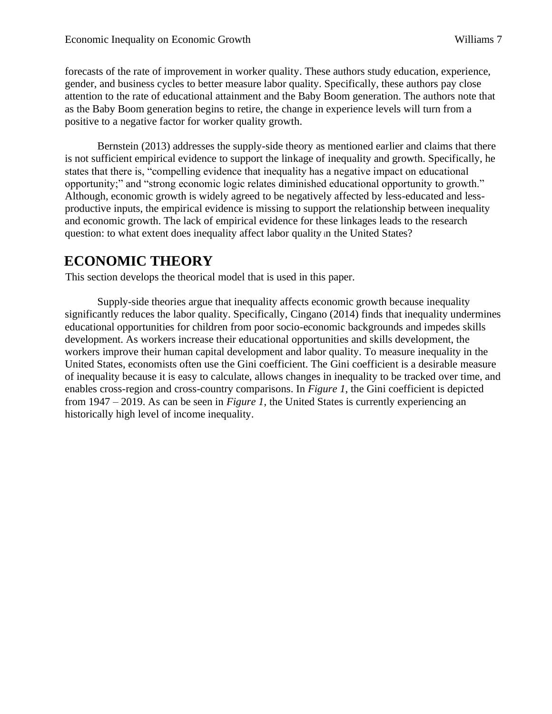forecasts of the rate of improvement in worker quality. These authors study education, experience, gender, and business cycles to better measure labor quality. Specifically, these authors pay close attention to the rate of educational attainment and the Baby Boom generation. The authors note that as the Baby Boom generation begins to retire, the change in experience levels will turn from a positive to a negative factor for worker quality growth.

Bernstein (2013) addresses the supply-side theory as mentioned earlier and claims that there is not sufficient empirical evidence to support the linkage of inequality and growth. Specifically, he states that there is, "compelling evidence that inequality has a negative impact on educational opportunity;" and "strong economic logic relates diminished educational opportunity to growth." Although, economic growth is widely agreed to be negatively affected by less-educated and lessproductive inputs, the empirical evidence is missing to support the relationship between inequality and economic growth. The lack of empirical evidence for these linkages leads to the research question: to what extent does inequality affect labor quality <sup>i</sup>n the United States?

## **ECONOMIC THEORY**

This section develops the theorical model that is used in this paper.

Supply-side theories argue that inequality affects economic growth because inequality significantly reduces the labor quality. Specifically, Cingano (2014) finds that inequality undermines educational opportunities for children from poor socio-economic backgrounds and impedes skills development. As workers increase their educational opportunities and skills development, the workers improve their human capital development and labor quality. To measure inequality in the United States, economists often use the Gini coefficient. The Gini coefficient is a desirable measure of inequality because it is easy to calculate, allows changes in inequality to be tracked over time, and enables cross-region and cross-country comparisons. In *Figure 1*, the Gini coefficient is depicted from 1947 – 2019. As can be seen in *Figure 1*, the United States is currently experiencing an historically high level of income inequality.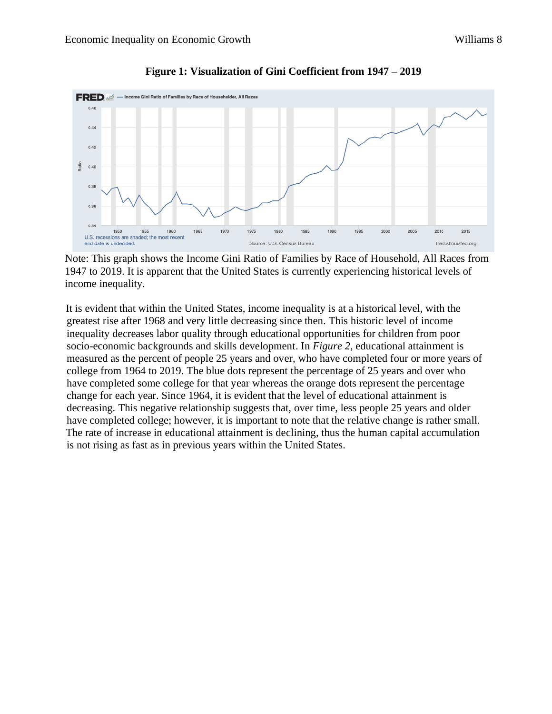

#### **Figure 1: Visualization of Gini Coefficient from 1947 – 2019**

Note: This graph shows the Income Gini Ratio of Families by Race of Household, All Races from 1947 to 2019. It is apparent that the United States is currently experiencing historical levels of income inequality.

It is evident that within the United States, income inequality is at a historical level, with the greatest rise after 1968 and very little decreasing since then. This historic level of income inequality decreases labor quality through educational opportunities for children from poor socio-economic backgrounds and skills development. In *Figure 2*, educational attainment is measured as the percent of people 25 years and over, who have completed four or more years of college from 1964 to 2019. The blue dots represent the percentage of 25 years and over who have completed some college for that year whereas the orange dots represent the percentage change for each year. Since 1964, it is evident that the level of educational attainment is decreasing. This negative relationship suggests that, over time, less people 25 years and older have completed college; however, it is important to note that the relative change is rather small. The rate of increase in educational attainment is declining, thus the human capital accumulation is not rising as fast as in previous years within the United States.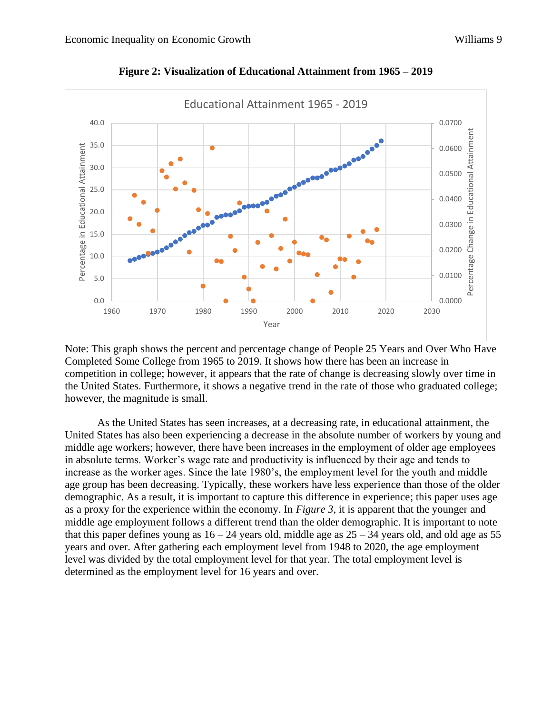

**Figure 2: Visualization of Educational Attainment from 1965 – 2019**

Note: This graph shows the percent and percentage change of People 25 Years and Over Who Have Completed Some College from 1965 to 2019. It shows how there has been an increase in competition in college; however, it appears that the rate of change is decreasing slowly over time in the United States. Furthermore, it shows a negative trend in the rate of those who graduated college; however, the magnitude is small.

As the United States has seen increases, at a decreasing rate, in educational attainment, the United States has also been experiencing a decrease in the absolute number of workers by young and middle age workers; however, there have been increases in the employment of older age employees in absolute terms. Worker's wage rate and productivity is influenced by their age and tends to increase as the worker ages. Since the late 1980's, the employment level for the youth and middle age group has been decreasing. Typically, these workers have less experience than those of the older demographic. As a result, it is important to capture this difference in experience; this paper uses age as a proxy for the experience within the economy. In *Figure 3*, it is apparent that the younger and middle age employment follows a different trend than the older demographic. It is important to note that this paper defines young as  $16 - 24$  years old, middle age as  $25 - 34$  years old, and old age as 55 years and over. After gathering each employment level from 1948 to 2020, the age employment level was divided by the total employment level for that year. The total employment level is determined as the employment level for 16 years and over.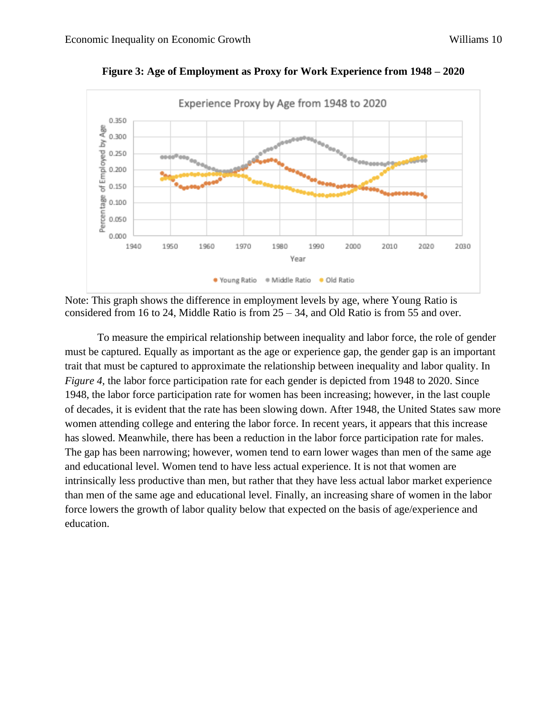

**Figure 3: Age of Employment as Proxy for Work Experience from 1948 – 2020**

Note: This graph shows the difference in employment levels by age, where Young Ratio is considered from 16 to 24, Middle Ratio is from  $25 - 34$ , and Old Ratio is from 55 and over.

To measure the empirical relationship between inequality and labor force, the role of gender must be captured. Equally as important as the age or experience gap, the gender gap is an important trait that must be captured to approximate the relationship between inequality and labor quality. In *Figure 4,* the labor force participation rate for each gender is depicted from 1948 to 2020. Since 1948, the labor force participation rate for women has been increasing; however, in the last couple of decades, it is evident that the rate has been slowing down. After 1948, the United States saw more women attending college and entering the labor force. In recent years, it appears that this increase has slowed. Meanwhile, there has been a reduction in the labor force participation rate for males. The gap has been narrowing; however, women tend to earn lower wages than men of the same age and educational level. Women tend to have less actual experience. It is not that women are intrinsically less productive than men, but rather that they have less actual labor market experience than men of the same age and educational level. Finally, an increasing share of women in the labor force lowers the growth of labor quality below that expected on the basis of age/experience and education.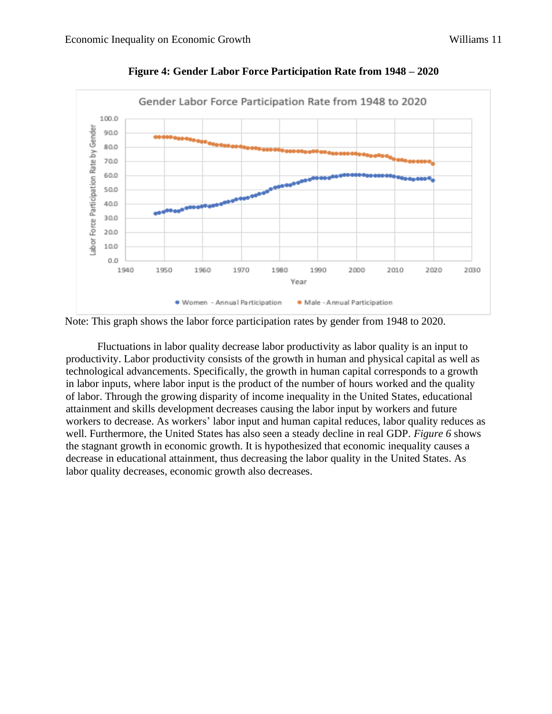

**Figure 4: Gender Labor Force Participation Rate from 1948 – 2020**

Note: This graph shows the labor force participation rates by gender from 1948 to 2020.

Fluctuations in labor quality decrease labor productivity as labor quality is an input to productivity. Labor productivity consists of the growth in human and physical capital as well as technological advancements. Specifically, the growth in human capital corresponds to a growth in labor inputs, where labor input is the product of the number of hours worked and the quality of labor. Through the growing disparity of income inequality in the United States, educational attainment and skills development decreases causing the labor input by workers and future workers to decrease. As workers' labor input and human capital reduces, labor quality reduces as well. Furthermore, the United States has also seen a steady decline in real GDP. *Figure 6* shows the stagnant growth in economic growth. It is hypothesized that economic inequality causes a decrease in educational attainment, thus decreasing the labor quality in the United States. As labor quality decreases, economic growth also decreases.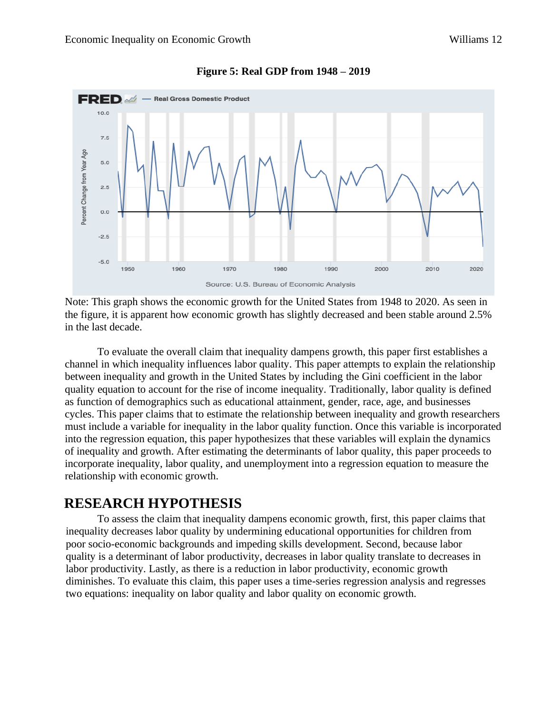

#### **Figure 5: Real GDP from 1948 – 2019**

Note: This graph shows the economic growth for the United States from 1948 to 2020. As seen in the figure, it is apparent how economic growth has slightly decreased and been stable around 2.5% in the last decade.

To evaluate the overall claim that inequality dampens growth, this paper first establishes a channel in which inequality influences labor quality. This paper attempts to explain the relationship between inequality and growth in the United States by including the Gini coefficient in the labor quality equation to account for the rise of income inequality. Traditionally, labor quality is defined as function of demographics such as educational attainment, gender, race, age, and businesses cycles. This paper claims that to estimate the relationship between inequality and growth researchers must include a variable for inequality in the labor quality function. Once this variable is incorporated into the regression equation, this paper hypothesizes that these variables will explain the dynamics of inequality and growth. After estimating the determinants of labor quality, this paper proceeds to incorporate inequality, labor quality, and unemployment into a regression equation to measure the relationship with economic growth.

### **RESEARCH HYPOTHESIS**

To assess the claim that inequality dampens economic growth, first, this paper claims that inequality decreases labor quality by undermining educational opportunities for children from poor socio-economic backgrounds and impeding skills development. Second, because labor quality is a determinant of labor productivity, decreases in labor quality translate to decreases in labor productivity. Lastly, as there is a reduction in labor productivity, economic growth diminishes. To evaluate this claim, this paper uses a time-series regression analysis and regresses two equations: inequality on labor quality and labor quality on economic growth.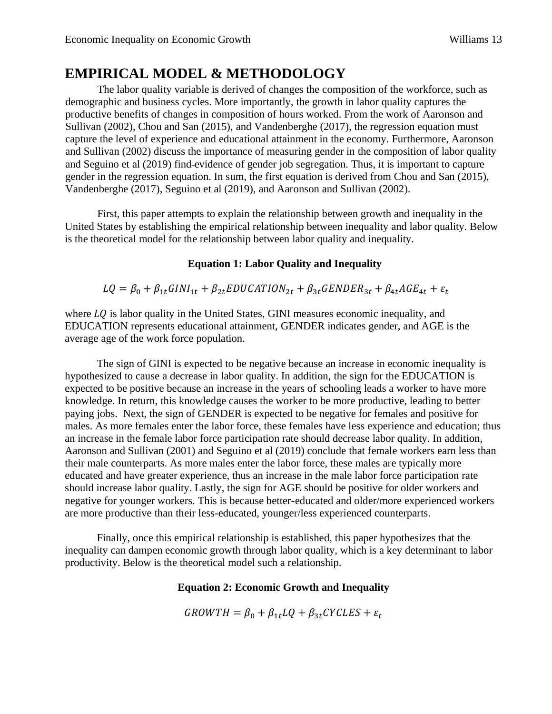## **EMPIRICAL MODEL & METHODOLOGY**

The labor quality variable is derived of changes the composition of the workforce, such as demographic and business cycles. More importantly, the growth in labor quality captures the productive benefits of changes in composition of hours worked. From the work of Aaronson and Sullivan (2002), Chou and San (2015), and Vandenberghe (2017), the regression equation must capture the level of experience and educational attainment in the economy. Furthermore, Aaronson and Sullivan (2002) discuss the importance of measuring gender in the composition of labor quality and Seguino et al (2019) find evidence of gender job segregation. Thus, it is important to capture gender in the regression equation. In sum, the first equation is derived from Chou and San (2015), Vandenberghe (2017), Seguino et al (2019), and Aaronson and Sullivan (2002).

First, this paper attempts to explain the relationship between growth and inequality in the United States by establishing the empirical relationship between inequality and labor quality. Below is the theoretical model for the relationship between labor quality and inequality.

### **Equation 1: Labor Quality and Inequality**

 $LQ = \beta_0 + \beta_{1t} GINI_{1t} + \beta_{2t} EDUCATION_{2t} + \beta_{3t} GENDER_{3t} + \beta_{4t} AGE_{4t} + \varepsilon_t$ 

where  $LQ$  is labor quality in the United States, GINI measures economic inequality, and EDUCATION represents educational attainment, GENDER indicates gender, and AGE is the average age of the work force population.

The sign of GINI is expected to be negative because an increase in economic inequality is hypothesized to cause a decrease in labor quality. In addition, the sign for the EDUCATION is expected to be positive because an increase in the years of schooling leads a worker to have more knowledge. In return, this knowledge causes the worker to be more productive, leading to better paying jobs. Next, the sign of GENDER is expected to be negative for females and positive for males. As more females enter the labor force, these females have less experience and education; thus an increase in the female labor force participation rate should decrease labor quality. In addition, Aaronson and Sullivan (2001) and Seguino et al (2019) conclude that female workers earn less than their male counterparts. As more males enter the labor force, these males are typically more educated and have greater experience, thus an increase in the male labor force participation rate should increase labor quality. Lastly, the sign for AGE should be positive for older workers and negative for younger workers. This is because better-educated and older/more experienced workers are more productive than their less-educated, younger/less experienced counterparts.

Finally, once this empirical relationship is established, this paper hypothesizes that the inequality can dampen economic growth through labor quality, which is a key determinant to labor productivity. Below is the theoretical model such a relationship.

### **Equation 2: Economic Growth and Inequality**

 $GROWTH = \beta_0 + \beta_{1t} LQ + \beta_{3t} CYCLES + \varepsilon_t$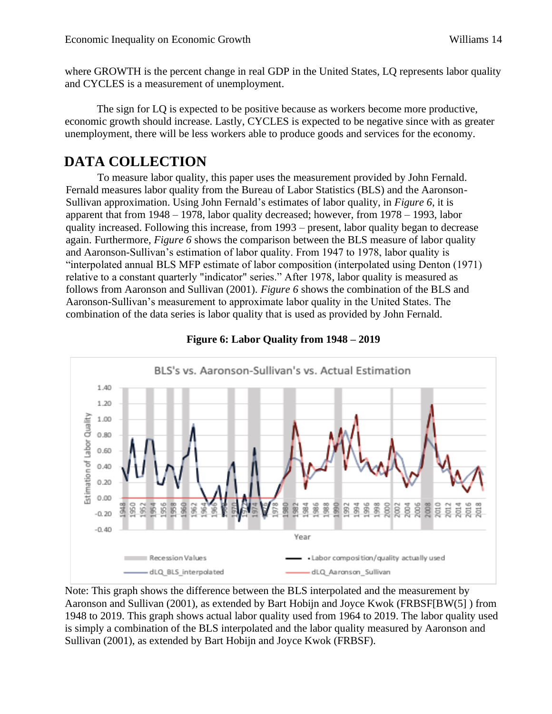where GROWTH is the percent change in real GDP in the United States, LQ represents labor quality and CYCLES is a measurement of unemployment.

The sign for LQ is expected to be positive because as workers become more productive, economic growth should increase. Lastly, CYCLES is expected to be negative since with as greater unemployment, there will be less workers able to produce goods and services for the economy.

## **DATA COLLECTION**

To measure labor quality, this paper uses the measurement provided by John Fernald. Fernald measures labor quality from the Bureau of Labor Statistics (BLS) and the Aaronson-Sullivan approximation. Using John Fernald's estimates of labor quality, in *Figure 6*, it is apparent that from 1948 – 1978, labor quality decreased; however, from 1978 – 1993, labor quality increased. Following this increase, from 1993 – present, labor quality began to decrease again. Furthermore, *Figure 6* shows the comparison between the BLS measure of labor quality and Aaronson-Sullivan's estimation of labor quality. From 1947 to 1978, labor quality is "interpolated annual BLS MFP estimate of labor composition (interpolated using Denton (1971) relative to a constant quarterly "indicator" series." After 1978, labor quality is measured as follows from Aaronson and Sullivan (2001). *Figure 6* shows the combination of the BLS and Aaronson-Sullivan's measurement to approximate labor quality in the United States. The combination of the data series is labor quality that is used as provided by John Fernald.



#### **Figure 6: Labor Quality from 1948 – 2019**

Note: This graph shows the difference between the BLS interpolated and the measurement by Aaronson and Sullivan (2001), as extended by Bart Hobijn and Joyce Kwok (FRBSF[BW(5] ) from 1948 to 2019. This graph shows actual labor quality used from 1964 to 2019. The labor quality used is simply a combination of the BLS interpolated and the labor quality measured by Aaronson and Sullivan (2001), as extended by Bart Hobijn and Joyce Kwok (FRBSF).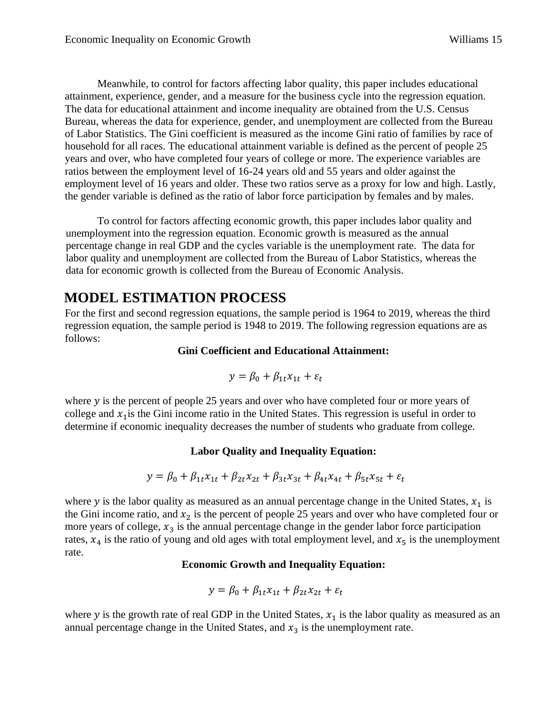Meanwhile, to control for factors affecting labor quality, this paper includes educational attainment, experience, gender, and a measure for the business cycle into the regression equation. The data for educational attainment and income inequality are obtained from the U.S. Census Bureau, whereas the data for experience, gender, and unemployment are collected from the Bureau of Labor Statistics. The Gini coefficient is measured as the income Gini ratio of families by race of household for all races. The educational attainment variable is defined as the percent of people 25 years and over, who have completed four years of college or more. The experience variables are ratios between the employment level of 16-24 years old and 55 years and older against the employment level of 16 years and older. These two ratios serve as a proxy for low and high. Lastly, the gender variable is defined as the ratio of labor force participation by females and by males.

To control for factors affecting economic growth, this paper includes labor quality and unemployment into the regression equation. Economic growth is measured as the annual percentage change in real GDP and the cycles variable is the unemployment rate. The data for labor quality and unemployment are collected from the Bureau of Labor Statistics, whereas the data for economic growth is collected from the Bureau of Economic Analysis.

## **MODEL ESTIMATION PROCESS**

For the first and second regression equations, the sample period is 1964 to 2019, whereas the third regression equation, the sample period is 1948 to 2019. The following regression equations are as follows:

#### **Gini Coefficient and Educational Attainment:**

$$
y = \beta_0 + \beta_{1t}x_{1t} + \varepsilon_t
$$

where  $y$  is the percent of people 25 years and over who have completed four or more years of college and  $x_1$  is the Gini income ratio in the United States. This regression is useful in order to determine if economic inequality decreases the number of students who graduate from college.

### **Labor Quality and Inequality Equation:**

$$
y = \beta_0 + \beta_{1t}x_{1t} + \beta_{2t}x_{2t} + \beta_{3t}x_{3t} + \beta_{4t}x_{4t} + \beta_{5t}x_{5t} + \varepsilon_t
$$

where  $y$  is the labor quality as measured as an annual percentage change in the United States,  $x_1$  is the Gini income ratio, and  $x_2$  is the percent of people 25 years and over who have completed four or more years of college,  $x_3$  is the annual percentage change in the gender labor force participation rates,  $x_4$  is the ratio of young and old ages with total employment level, and  $x_5$  is the unemployment rate.

#### **Economic Growth and Inequality Equation:**

$$
y = \beta_0 + \beta_{1t} x_{1t} + \beta_{2t} x_{2t} + \varepsilon_t
$$

where  $y$  is the growth rate of real GDP in the United States,  $x_1$  is the labor quality as measured as an annual percentage change in the United States, and  $x_3$  is the unemployment rate.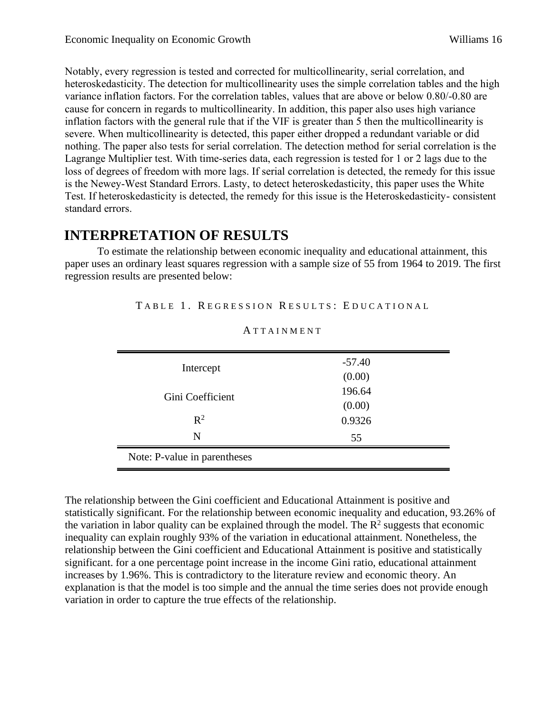Notably, every regression is tested and corrected for multicollinearity, serial correlation, and heteroskedasticity. The detection for multicollinearity uses the simple correlation tables and the high variance inflation factors. For the correlation tables, values that are above or below 0.80/-0.80 are cause for concern in regards to multicollinearity. In addition, this paper also uses high variance inflation factors with the general rule that if the VIF is greater than 5 then the multicollinearity is severe. When multicollinearity is detected, this paper either dropped a redundant variable or did nothing. The paper also tests for serial correlation. The detection method for serial correlation is the Lagrange Multiplier test. With time-series data, each regression is tested for 1 or 2 lags due to the loss of degrees of freedom with more lags. If serial correlation is detected, the remedy for this issue is the Newey-West Standard Errors. Lasty, to detect heteroskedasticity, this paper uses the White Test. If heteroskedasticity is detected, the remedy for this issue is the Heteroskedasticity- consistent standard errors.

### **INTERPRETATION OF RESULTS**

To estimate the relationship between economic inequality and educational attainment, this paper uses an ordinary least squares regression with a sample size of 55 from 1964 to 2019. The first regression results are presented below:

TABLE 1. REGRESSION RESULTS: EDUCATIONAL

| Intercept<br>Gini Coefficient | $-57.40$ |  |
|-------------------------------|----------|--|
|                               | (0.00)   |  |
|                               | 196.64   |  |
|                               | (0.00)   |  |
| $\mathbb{R}^2$                | 0.9326   |  |
| N                             | 55       |  |
| Note: P-value in parentheses  |          |  |

**ATTAINMENT** 

The relationship between the Gini coefficient and Educational Attainment is positive and statistically significant. For the relationship between economic inequality and education, 93.26% of the variation in labor quality can be explained through the model. The  $\mathbb{R}^2$  suggests that economic inequality can explain roughly 93% of the variation in educational attainment. Nonetheless, the relationship between the Gini coefficient and Educational Attainment is positive and statistically significant. for a one percentage point increase in the income Gini ratio, educational attainment increases by 1.96%. This is contradictory to the literature review and economic theory. An explanation is that the model is too simple and the annual the time series does not provide enough variation in order to capture the true effects of the relationship.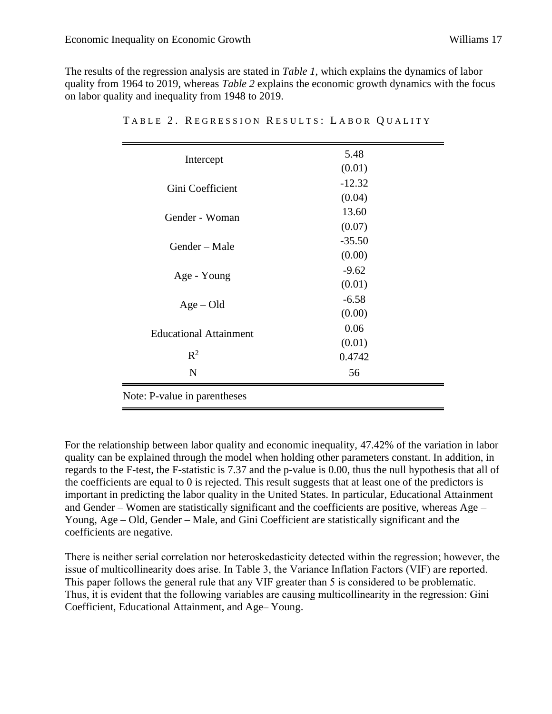$\equiv$ 

The results of the regression analysis are stated in *Table 1*, which explains the dynamics of labor quality from 1964 to 2019, whereas *Table 2* explains the economic growth dynamics with the focus on labor quality and inequality from 1948 to 2019.

| Intercept                     | 5.48     |
|-------------------------------|----------|
|                               | (0.01)   |
| Gini Coefficient              | $-12.32$ |
|                               | (0.04)   |
| Gender - Woman                | 13.60    |
|                               | (0.07)   |
| Gender – Male                 | $-35.50$ |
|                               | (0.00)   |
| Age - Young                   | $-9.62$  |
|                               | (0.01)   |
| $Age - Old$                   | $-6.58$  |
|                               | (0.00)   |
| <b>Educational Attainment</b> | 0.06     |
|                               | (0.01)   |
| $R^2$                         | 0.4742   |
| $\mathbf N$                   | 56       |
| Note: P-value in parentheses  |          |

TABLE 2. REGRESSION RESULTS: LABOR QUALITY

For the relationship between labor quality and economic inequality, 47.42% of the variation in labor quality can be explained through the model when holding other parameters constant. In addition, in regards to the F-test, the F-statistic is 7.37 and the p-value is 0.00, thus the null hypothesis that all of the coefficients are equal to 0 is rejected. This result suggests that at least one of the predictors is important in predicting the labor quality in the United States. In particular, Educational Attainment and Gender – Women are statistically significant and the coefficients are positive, whereas Age – Young, Age – Old, Gender – Male, and Gini Coefficient are statistically significant and the coefficients are negative.

There is neither serial correlation nor heteroskedasticity detected within the regression; however, the issue of multicollinearity does arise. In Table 3, the Variance Inflation Factors (VIF) are reported. This paper follows the general rule that any VIF greater than 5 is considered to be problematic. Thus, it is evident that the following variables are causing multicollinearity in the regression: Gini Coefficient, Educational Attainment, and Age– Young.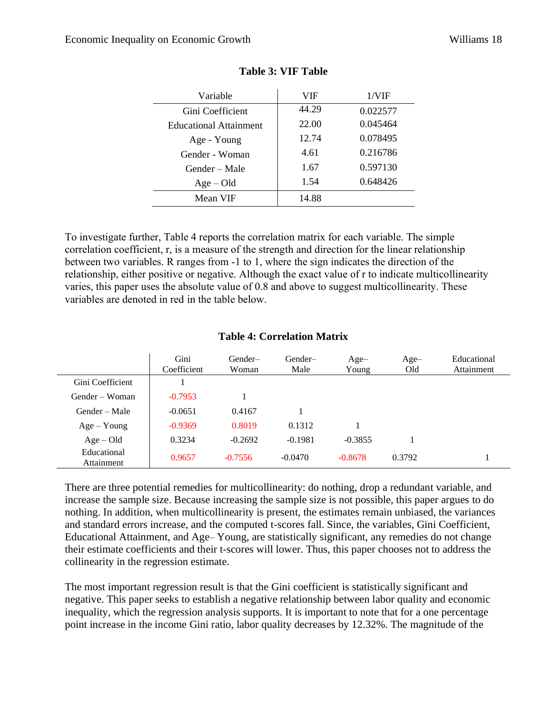| Variable               | VIF   | 1/VIF    |
|------------------------|-------|----------|
| Gini Coefficient       | 44.29 | 0.022577 |
| Educational Attainment | 22.00 | 0.045464 |
| Age - Young            | 12.74 | 0.078495 |
| Gender - Woman         | 4.61  | 0.216786 |
| Gender – Male          | 1.67  | 0.597130 |
| $Age - Old$            | 1.54  | 0.648426 |
| Mean VIF               | 14.88 |          |

#### **Table 3: VIF Table**

To investigate further, Table 4 reports the correlation matrix for each variable. The simple correlation coefficient, r, is a measure of the strength and direction for the linear relationship between two variables. R ranges from -1 to 1, where the sign indicates the direction of the relationship, either positive or negative. Although the exact value of r to indicate multicollinearity varies, this paper uses the absolute value of 0.8 and above to suggest multicollinearity. These variables are denoted in red in the table below.

|                           | Gini<br>Coefficient | Gender-<br>Woman | Gender-<br>Male | $Age-$<br>Young | $Age-$<br>Old | Educational<br>Attainment |
|---------------------------|---------------------|------------------|-----------------|-----------------|---------------|---------------------------|
| Gini Coefficient          |                     |                  |                 |                 |               |                           |
| Gender – Woman            | $-0.7953$           |                  |                 |                 |               |                           |
| Gender – Male             | $-0.0651$           | 0.4167           |                 |                 |               |                           |
| $Age - Young$             | $-0.9369$           | 0.8019           | 0.1312          |                 |               |                           |
| $Age - Old$               | 0.3234              | $-0.2692$        | $-0.1981$       | $-0.3855$       |               |                           |
| Educational<br>Attainment | 0.9657              | $-0.7556$        | $-0.0470$       | $-0.8678$       | 0.3792        |                           |

#### **Table 4: Correlation Matrix**

There are three potential remedies for multicollinearity: do nothing, drop a redundant variable, and increase the sample size. Because increasing the sample size is not possible, this paper argues to do nothing. In addition, when multicollinearity is present, the estimates remain unbiased, the variances and standard errors increase, and the computed t-scores fall. Since, the variables, Gini Coefficient, Educational Attainment, and Age– Young, are statistically significant, any remedies do not change their estimate coefficients and their t-scores will lower. Thus, this paper chooses not to address the collinearity in the regression estimate.

The most important regression result is that the Gini coefficient is statistically significant and negative. This paper seeks to establish a negative relationship between labor quality and economic inequality, which the regression analysis supports. It is important to note that for a one percentage point increase in the income Gini ratio, labor quality decreases by 12.32%. The magnitude of the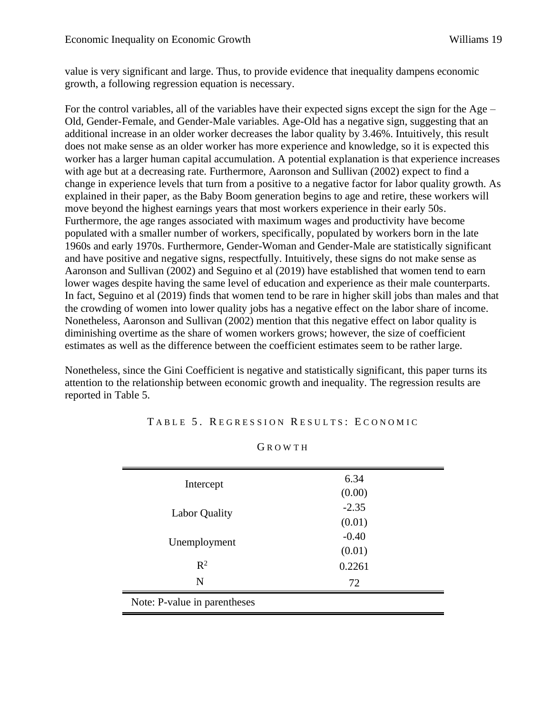value is very significant and large. Thus, to provide evidence that inequality dampens economic growth, a following regression equation is necessary.

For the control variables, all of the variables have their expected signs except the sign for the Age – Old, Gender-Female, and Gender-Male variables. Age-Old has a negative sign, suggesting that an additional increase in an older worker decreases the labor quality by 3.46%. Intuitively, this result does not make sense as an older worker has more experience and knowledge, so it is expected this worker has a larger human capital accumulation. A potential explanation is that experience increases with age but at a decreasing rate. Furthermore, Aaronson and Sullivan (2002) expect to find a change in experience levels that turn from a positive to a negative factor for labor quality growth. As explained in their paper, as the Baby Boom generation begins to age and retire, these workers will move beyond the highest earnings years that most workers experience in their early 50s. Furthermore, the age ranges associated with maximum wages and productivity have become populated with a smaller number of workers, specifically, populated by workers born in the late 1960s and early 1970s. Furthermore, Gender-Woman and Gender-Male are statistically significant and have positive and negative signs, respectfully. Intuitively, these signs do not make sense as Aaronson and Sullivan (2002) and Seguino et al (2019) have established that women tend to earn lower wages despite having the same level of education and experience as their male counterparts. In fact, Seguino et al (2019) finds that women tend to be rare in higher skill jobs than males and that the crowding of women into lower quality jobs has a negative effect on the labor share of income. Nonetheless, Aaronson and Sullivan (2002) mention that this negative effect on labor quality is diminishing overtime as the share of women workers grows; however, the size of coefficient estimates as well as the difference between the coefficient estimates seem to be rather large.

Nonetheless, since the Gini Coefficient is negative and statistically significant, this paper turns its attention to the relationship between economic growth and inequality. The regression results are reported in Table 5.

| Intercept                            | 6.34    |  |
|--------------------------------------|---------|--|
|                                      | (0.00)  |  |
| <b>Labor Quality</b><br>Unemployment | $-2.35$ |  |
|                                      | (0.01)  |  |
|                                      | $-0.40$ |  |
|                                      | (0.01)  |  |
| $R^2$                                | 0.2261  |  |
| N                                    | 72      |  |
| Note: P-value in parentheses         |         |  |

G R O W T H

TABLE 5. REGRESSION RESULTS: ECONOMIC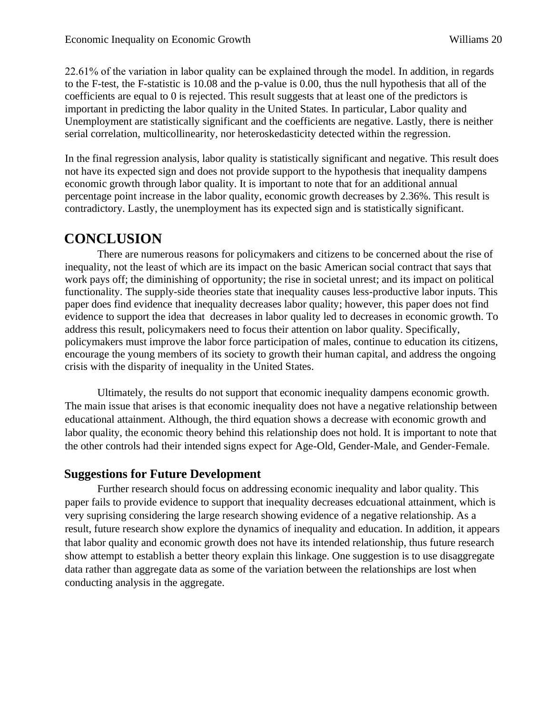22.61% of the variation in labor quality can be explained through the model. In addition, in regards to the F-test, the F-statistic is 10.08 and the p-value is 0.00, thus the null hypothesis that all of the coefficients are equal to 0 is rejected. This result suggests that at least one of the predictors is important in predicting the labor quality in the United States. In particular, Labor quality and Unemployment are statistically significant and the coefficients are negative. Lastly, there is neither serial correlation, multicollinearity, nor heteroskedasticity detected within the regression.

In the final regression analysis, labor quality is statistically significant and negative. This result does not have its expected sign and does not provide support to the hypothesis that inequality dampens economic growth through labor quality. It is important to note that for an additional annual percentage point increase in the labor quality, economic growth decreases by 2.36%. This result is contradictory. Lastly, the unemployment has its expected sign and is statistically significant.

### **CONCLUSION**

There are numerous reasons for policymakers and citizens to be concerned about the rise of inequality, not the least of which are its impact on the basic American social contract that says that work pays off; the diminishing of opportunity; the rise in societal unrest; and its impact on political functionality. The supply-side theories state that inequality causes less-productive labor inputs. This paper does find evidence that inequality decreases labor quality; however, this paper does not find evidence to support the idea that decreases in labor quality led to decreases in economic growth. To address this result, policymakers need to focus their attention on labor quality. Specifically, policymakers must improve the labor force participation of males, continue to education its citizens, encourage the young members of its society to growth their human capital, and address the ongoing crisis with the disparity of inequality in the United States.

Ultimately, the results do not support that economic inequality dampens economic growth. The main issue that arises is that economic inequality does not have a negative relationship between educational attainment. Although, the third equation shows a decrease with economic growth and labor quality, the economic theory behind this relationship does not hold. It is important to note that the other controls had their intended signs expect for Age-Old, Gender-Male, and Gender-Female.

### **Suggestions for Future Development**

Further research should focus on addressing economic inequality and labor quality. This paper fails to provide evidence to support that inequality decreases edcuational attainment, which is very suprising considering the large research showing evidence of a negative relationship. As a result, future research show explore the dynamics of inequality and education. In addition, it appears that labor quality and economic growth does not have its intended relationship, thus future research show attempt to establish a better theory explain this linkage. One suggestion is to use disaggregate data rather than aggregate data as some of the variation between the relationships are lost when conducting analysis in the aggregate.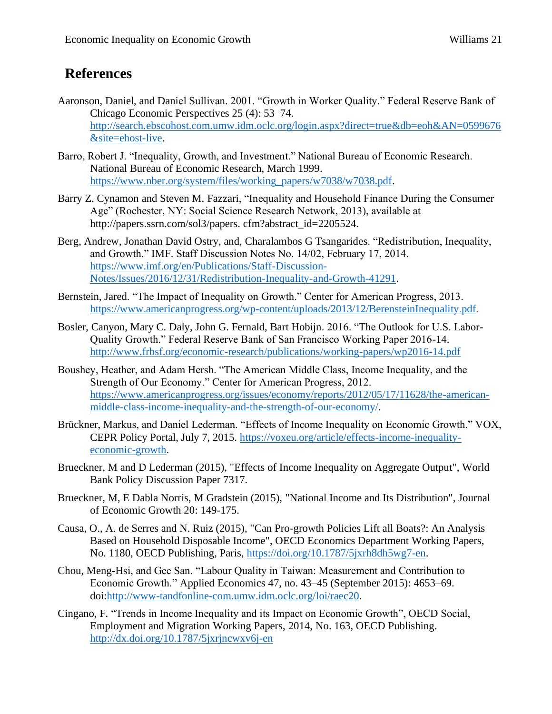## **References**

- Aaronson, Daniel, and Daniel Sullivan. 2001. "Growth in Worker Quality." Federal Reserve Bank of Chicago Economic Perspectives 25 (4): 53–74. [http://search.ebscohost.com.umw.idm.oclc.org/login.aspx?direct=true&db=eoh&AN=0599676](http://search.ebscohost.com.umw.idm.oclc.org/login.aspx?direct=true&db=eoh&AN=0599676&site=ehost-live) [&site=ehost-live.](http://search.ebscohost.com.umw.idm.oclc.org/login.aspx?direct=true&db=eoh&AN=0599676&site=ehost-live)
- Barro, Robert J. "Inequality, Growth, and Investment." National Bureau of Economic Research. National Bureau of Economic Research, March 1999. [https://www.nber.org/system/files/working\\_papers/w7038/w7038.pdf.](https://www.nber.org/system/files/working_papers/w7038/w7038.pdf)
- Barry Z. Cynamon and Steven M. Fazzari, "Inequality and Household Finance During the Consumer Age" (Rochester, NY: Social Science Research Network, 2013), available at http://papers.ssrn.com/sol3/papers. cfm?abstract\_id=2205524.
- Berg, Andrew, Jonathan David Ostry, and, Charalambos G Tsangarides. "Redistribution, Inequality, and Growth." IMF. Staff Discussion Notes No. 14/02, February 17, 2014. [https://www.imf.org/en/Publications/Staff-Discussion-](https://www.imf.org/en/Publications/Staff-Discussion-Notes/Issues/2016/12/31/Redistribution-Inequality-and-Growth-41291)[Notes/Issues/2016/12/31/Redistribution-Inequality-and-Growth-41291.](https://www.imf.org/en/Publications/Staff-Discussion-Notes/Issues/2016/12/31/Redistribution-Inequality-and-Growth-41291)
- Bernstein, Jared. "The Impact of Inequality on Growth." Center for American Progress, 2013. https://www.americanprogress.[org/wp-content/uploads/2013/12/BerensteinInequality](https://www.americanprogress.org/wp-content/uploads/2013/12/BerensteinInequality.pdf).pdf.
- Bosler, Canyon, Mary C. Daly, John G. Fernald, Bart Hobijn. 2016. "The Outlook for U.S. Labor-Quality Growth." Federal Reserve Bank of San Francisco Working Paper 2016-14. <http://www.frbsf.org/economic-research/publications/working-papers/wp2016-14.pdf>
- Boushey, Heather, and Adam Hersh. "The American Middle Class, Income Inequality, and the Strength of Our Economy." Center for American Progress, 2012. [https://www.americanprogress.org/issues/economy/reports/2012/05/17/11628/the-american](https://www.americanprogress.org/issues/economy/reports/2012/05/17/11628/the-american-middle-class-income-inequality-and-the-strength-of-our-economy/)[middle-class-income-inequality-and-the-strength-of-our-economy/.](https://www.americanprogress.org/issues/economy/reports/2012/05/17/11628/the-american-middle-class-income-inequality-and-the-strength-of-our-economy/)
- Brückner, Markus, and Daniel Lederman. "Effects of Income Inequality on Economic Growth." VOX, CEPR Policy Portal, July 7, 2015. [https://voxeu.org/article/effects-income-inequality](https://voxeu.org/article/effects-income-inequality-economic-growth)[economic-growth.](https://voxeu.org/article/effects-income-inequality-economic-growth)
- Brueckner, M and D Lederman (2015), "Effects of Income Inequality on Aggregate Output", World Bank Policy Discussion Paper 7317.
- Brueckner, M, E Dabla Norris, M Gradstein (2015), "National Income and Its Distribution", Journal of Economic Growth 20: 149-175.
- Causa, O., A. de Serres and N. Ruiz (2015), "Can Pro-growth Policies Lift all Boats?: An Analysis Based on Household Disposable Income", OECD Economics Department Working Papers, No. 1180, OECD Publishing, Paris, [https://doi.org/10.1787/5jxrh8dh5wg7-en.](https://doi.org/10.1787/5jxrh8dh5wg7-en)
- Chou, Meng-Hsi, and Gee San. "Labour Quality in Taiwan: Measurement and Contribution to Economic Growth." Applied Economics 47, no. 43–45 (September 2015): 4653–69. doi[:http://www-tandfonline-com.umw.idm.oclc.org/loi/raec20.](http://www-tandfonline-com.umw.idm.oclc.org/loi/raec20)
- Cingano, F. "Trends in Income Inequality and its Impact on Economic Growth", OECD Social, Employment and Migration Working Papers, 2014, No. 163, OECD Publishing. <http://dx.doi.org/10.1787/5jxrjncwxv6j-en>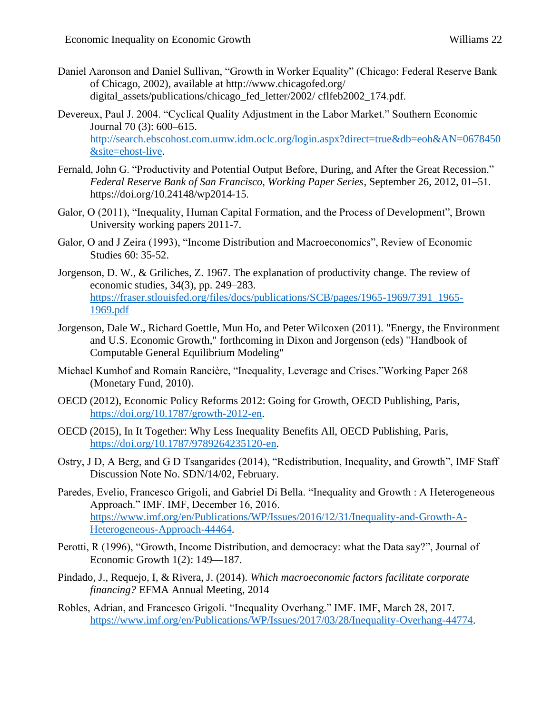- Daniel Aaronson and Daniel Sullivan, "Growth in Worker Equality" (Chicago: Federal Reserve Bank of Chicago, 2002), available at http://www.chicagofed.org/ digital\_assets/publications/chicago\_fed\_letter/2002/ cflfeb2002\_174.pdf.
- Devereux, Paul J. 2004. "Cyclical Quality Adjustment in the Labor Market." Southern Economic Journal 70 (3): 600–615. [http://search.ebscohost.com.umw.idm.oclc.org/login.aspx?direct=true&db=eoh&AN=0678450](http://search.ebscohost.com.umw.idm.oclc.org/login.aspx?direct=true&db=eoh&AN=0678450&site=ehost-live) [&site=ehost-live.](http://search.ebscohost.com.umw.idm.oclc.org/login.aspx?direct=true&db=eoh&AN=0678450&site=ehost-live)
- Fernald, John G. "Productivity and Potential Output Before, During, and After the Great Recession." *Federal Reserve Bank of San Francisco, Working Paper Series*, September 26, 2012, 01–51. https://doi.org/10.24148/wp2014-15.
- Galor, O (2011), "Inequality, Human Capital Formation, and the Process of Development", Brown University working papers 2011-7.
- Galor, O and J Zeira (1993), "Income Distribution and Macroeconomics", Review of Economic Studies 60: 35-52.
- Jorgenson, D. W., & Griliches, Z. 1967. The explanation of productivity change. The review of economic studies, 34(3), pp. 249–283. [https://fraser.stlouisfed.org/files/docs/publications/SCB/pages/1965-1969/7391\\_1965-](https://fraser.stlouisfed.org/files/docs/publications/SCB/pages/1965-1969/7391_1965-1969.pdf) [1969.pdf](https://fraser.stlouisfed.org/files/docs/publications/SCB/pages/1965-1969/7391_1965-1969.pdf)
- Jorgenson, Dale W., Richard Goettle, Mun Ho, and Peter Wilcoxen (2011). "Energy, the Environment and U.S. Economic Growth," forthcoming in Dixon and Jorgenson (eds) "Handbook of Computable General Equilibrium Modeling"
- Michael Kumhof and Romain Rancière, "Inequality, Leverage and Crises."Working Paper 268 (Monetary Fund, 2010).
- OECD (2012), Economic Policy Reforms 2012: Going for Growth, OECD Publishing, Paris, [https://doi.org/10.1787/growth-2012-en.](https://doi.org/10.1787/growth-2012-en)
- OECD (2015), In It Together: Why Less Inequality Benefits All, OECD Publishing, Paris, [https://doi.org/10.1787/9789264235120-en.](https://doi.org/10.1787/9789264235120-en)
- Ostry, J D, A Berg, and G D Tsangarides (2014), "Redistribution, Inequality, and Growth", IMF Staff Discussion Note No. SDN/14/02, February.
- Paredes, Evelio, Francesco Grigoli, and Gabriel Di Bella. "Inequality and Growth : A Heterogeneous Approach." IMF. IMF, December 16, 2016. [https://www.imf.org/en/Publications/WP/Issues/2016/12/31/Inequality-and-Growth-A-](https://www.imf.org/en/Publications/WP/Issues/2016/12/31/Inequality-and-Growth-A-Heterogeneous-Approach-44464)[Heterogeneous-Approach-44464.](https://www.imf.org/en/Publications/WP/Issues/2016/12/31/Inequality-and-Growth-A-Heterogeneous-Approach-44464)
- Perotti, R (1996), "Growth, Income Distribution, and democracy: what the Data say?", Journal of Economic Growth 1(2): 149—187.
- Pindado, J., Requejo, I, & Rivera, J. (2014). *Which macroeconomic factors facilitate corporate financing?* EFMA Annual Meeting, 2014
- Robles, Adrian, and Francesco Grigoli. "Inequality Overhang." IMF. IMF, March 28, 2017. [https://www.imf.org/en/Publications/WP/Issues/2017/03/28/Inequality-Overhang-44774.](https://www.imf.org/en/Publications/WP/Issues/2017/03/28/Inequality-Overhang-44774)